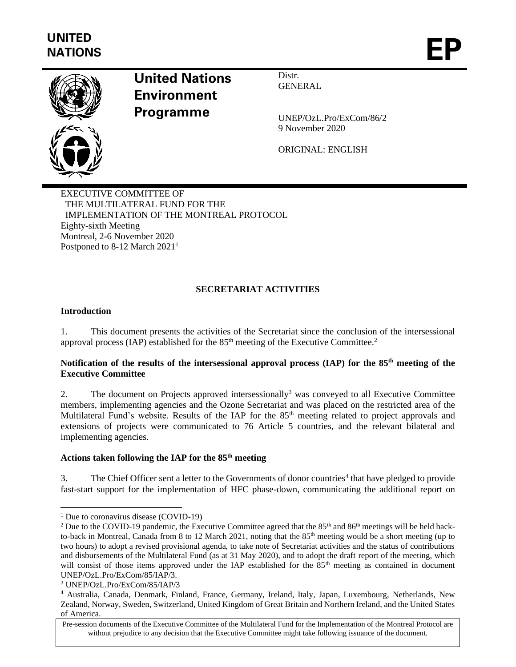

# **United Nations Environment Programme**

Distr. **GENERAL** 

UNEP/OzL.Pro/ExCom/86/2 9 November 2020

ORIGINAL: ENGLISH

EXECUTIVE COMMITTEE OF THE MULTILATERAL FUND FOR THE IMPLEMENTATION OF THE MONTREAL PROTOCOL Eighty-sixth Meeting Montreal, 2-6 November 2020 Postponed to 8-12 March 2021<sup>1</sup>

# **SECRETARIAT ACTIVITIES**

#### **Introduction**

1. This document presents the activities of the Secretariat since the conclusion of the intersessional approval process (IAP) established for the 85<sup>th</sup> meeting of the Executive Committee.<sup>2</sup>

# **Notification of the results of the intersessional approval process (IAP) for the 85th meeting of the Executive Committee**

2. The document on Projects approved intersessionally<sup>3</sup> was conveyed to all Executive Committee members, implementing agencies and the Ozone Secretariat and was placed on the restricted area of the Multilateral Fund's website. Results of the IAP for the 85<sup>th</sup> meeting related to project approvals and extensions of projects were communicated to 76 Article 5 countries, and the relevant bilateral and implementing agencies.

#### **Actions taken following the IAP for the 85 th meeting**

3. The Chief Officer sent a letter to the Governments of donor countries<sup>4</sup> that have pledged to provide fast-start support for the implementation of HFC phase-down, communicating the additional report on

<sup>&</sup>lt;sup>1</sup> Due to coronavirus disease (COVID-19)

<sup>&</sup>lt;sup>2</sup> Due to the COVID-19 pandemic, the Executive Committee agreed that the 85<sup>th</sup> and 86<sup>th</sup> meetings will be held backto-back in Montreal, Canada from 8 to 12 March 2021, noting that the 85<sup>th</sup> meeting would be a short meeting (up to two hours) to adopt a revised provisional agenda, to take note of Secretariat activities and the status of contributions and disbursements of the Multilateral Fund (as at 31 May 2020), and to adopt the draft report of the meeting, which will consist of those items approved under the IAP established for the 85<sup>th</sup> meeting as contained in document UNEP/OzL.Pro/ExCom/85/IAP/3.

<sup>3</sup> UNEP/OzL.Pro/ExCom/85/IAP/3

<sup>4</sup> Australia, Canada, Denmark, Finland, France, Germany, Ireland, Italy, Japan, Luxembourg, Netherlands, New Zealand, Norway, Sweden, Switzerland, United Kingdom of Great Britain and Northern Ireland, and the United States of America.

Pre-session documents of the Executive Committee of the Multilateral Fund for the Implementation of the Montreal Protocol are without prejudice to any decision that the Executive Committee might take following issuance of the document.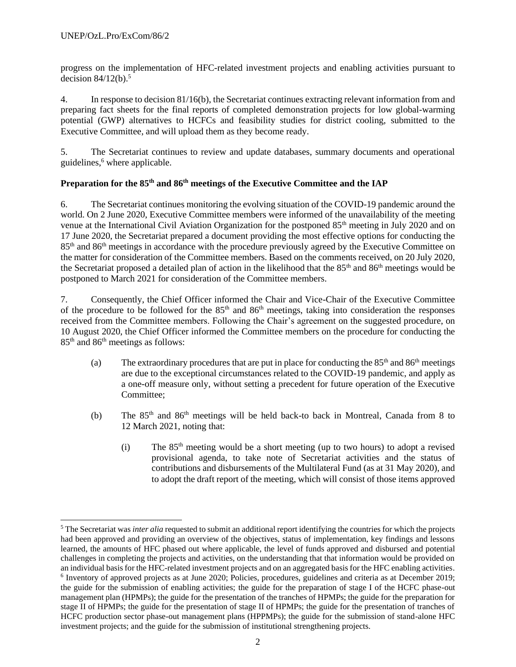progress on the implementation of HFC-related investment projects and enabling activities pursuant to decision  $84/12(b)$ .<sup>5</sup>

4. In response to decision 81/16(b), the Secretariat continues extracting relevant information from and preparing fact sheets for the final reports of completed demonstration projects for low global-warming potential (GWP) alternatives to HCFCs and feasibility studies for district cooling, submitted to the Executive Committee, and will upload them as they become ready.

5. The Secretariat continues to review and update databases, summary documents and operational guidelines, <sup>6</sup> where applicable.

# **Preparation for the 85th and 86th meetings of the Executive Committee and the IAP**

6. The Secretariat continues monitoring the evolving situation of the COVID-19 pandemic around the world. On 2 June 2020, Executive Committee members were informed of the unavailability of the meeting venue at the International Civil Aviation Organization for the postponed 85th meeting in July 2020 and on 17 June 2020, the Secretariat prepared a document providing the most effective options for conducting the 85th and 86th meetings in accordance with the procedure previously agreed by the Executive Committee on the matter for consideration of the Committee members. Based on the comments received, on 20 July 2020, the Secretariat proposed a detailed plan of action in the likelihood that the 85<sup>th</sup> and 86<sup>th</sup> meetings would be postponed to March 2021 for consideration of the Committee members.

7. Consequently, the Chief Officer informed the Chair and Vice-Chair of the Executive Committee of the procedure to be followed for the  $85<sup>th</sup>$  and  $86<sup>th</sup>$  meetings, taking into consideration the responses received from the Committee members. Following the Chair's agreement on the suggested procedure, on 10 August 2020, the Chief Officer informed the Committee members on the procedure for conducting the 85th and 86th meetings as follows:

- (a) The extraordinary procedures that are put in place for conducting the  $85<sup>th</sup>$  and  $86<sup>th</sup>$  meetings are due to the exceptional circumstances related to the COVID-19 pandemic, and apply as a one-off measure only, without setting a precedent for future operation of the Executive Committee;
- (b) The  $85<sup>th</sup>$  and  $86<sup>th</sup>$  meetings will be held back-to back in Montreal, Canada from 8 to 12 March 2021, noting that:
	- (i) The  $85<sup>th</sup>$  meeting would be a short meeting (up to two hours) to adopt a revised provisional agenda, to take note of Secretariat activities and the status of contributions and disbursements of the Multilateral Fund (as at 31 May 2020), and to adopt the draft report of the meeting, which will consist of those items approved

<sup>&</sup>lt;sup>5</sup> The Secretariat was *inter alia* requested to submit an additional report identifying the countries for which the projects had been approved and providing an overview of the objectives, status of implementation, key findings and lessons learned, the amounts of HFC phased out where applicable, the level of funds approved and disbursed and potential challenges in completing the projects and activities, on the understanding that that information would be provided on an individual basis for the HFC-related investment projects and on an aggregated basis for the HFC enabling activities. <sup>6</sup> Inventory of approved projects as at June 2020; Policies, procedures, guidelines and criteria as at December 2019; the guide for the submission of enabling activities; the guide for the preparation of stage I of the HCFC phase-out management plan (HPMPs); the guide for the presentation of the tranches of HPMPs; the guide for the preparation for stage II of HPMPs; the guide for the presentation of stage II of HPMPs; the guide for the presentation of tranches of HCFC production sector phase-out management plans (HPPMPs); the guide for the submission of stand-alone HFC investment projects; and the guide for the submission of institutional strengthening projects.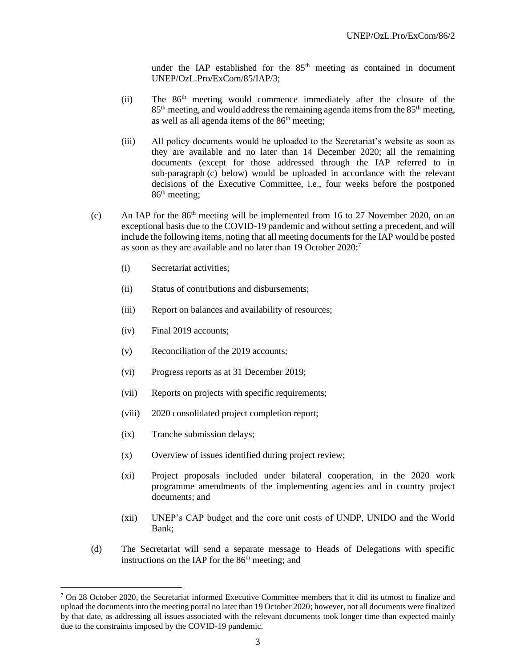under the IAP established for the  $85<sup>th</sup>$  meeting as contained in document UNEP/OzL.Pro/ExCom/85/IAP/3;

- (ii) The 86<sup>th</sup> meeting would commence immediately after the closure of the  $85<sup>th</sup>$  meeting, and would address the remaining agenda items from the  $85<sup>th</sup>$  meeting, as well as all agenda items of the  $86<sup>th</sup>$  meeting;
- (iii) All policy documents would be uploaded to the Secretariat's website as soon as they are available and no later than 14 December 2020; all the remaining documents (except for those addressed through the IAP referred to in sub-paragraph (c) below) would be uploaded in accordance with the relevant decisions of the Executive Committee, i.e., four weeks before the postponed  $86<sup>th</sup>$  meeting;
- (c) An IAP for the  $86<sup>th</sup>$  meeting will be implemented from 16 to 27 November 2020, on an exceptional basis due to the COVID-19 pandemic and without setting a precedent, and will include the following items, noting that all meeting documents for the IAP would be posted as soon as they are available and no later than 19 October 2020:<sup>7</sup>
	- (i) Secretariat activities;
	- (ii) Status of contributions and disbursements;
	- (iii) Report on balances and availability of resources;
	- (iv) Final 2019 accounts;
	- (v) Reconciliation of the 2019 accounts;
	- (vi) Progress reports as at 31 December 2019;
	- (vii) Reports on projects with specific requirements;
	- (viii) 2020 consolidated project completion report;
	- (ix) Tranche submission delays;
	- (x) Overview of issues identified during project review;
	- (xi) Project proposals included under bilateral cooperation, in the 2020 work programme amendments of the implementing agencies and in country project documents; and
	- (xii) UNEP's CAP budget and the core unit costs of UNDP, UNIDO and the World Bank;
- (d) The Secretariat will send a separate message to Heads of Delegations with specific instructions on the IAP for the  $86<sup>th</sup>$  meeting; and

 $7$  On 28 October 2020, the Secretariat informed Executive Committee members that it did its utmost to finalize and upload the documents into the meeting portal no later than 19 October 2020; however, not all documents were finalized by that date, as addressing all issues associated with the relevant documents took longer time than expected mainly due to the constraints imposed by the COVID-19 pandemic.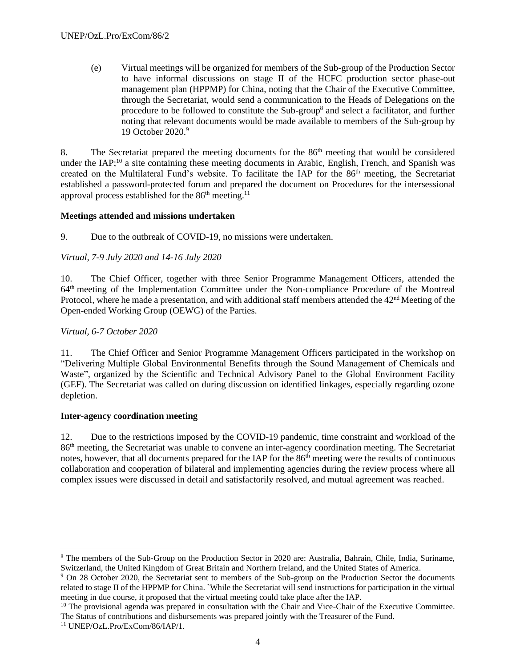(e) Virtual meetings will be organized for members of the Sub-group of the Production Sector to have informal discussions on stage II of the HCFC production sector phase-out management plan (HPPMP) for China, noting that the Chair of the Executive Committee, through the Secretariat, would send a communication to the Heads of Delegations on the procedure to be followed to constitute the Sub-group<sup>8</sup> and select a facilitator, and further noting that relevant documents would be made available to members of the Sub-group by 19 October 2020.<sup>9</sup>

8. The Secretariat prepared the meeting documents for the 86<sup>th</sup> meeting that would be considered under the IAP;<sup>10</sup> a site containing these meeting documents in Arabic, English, French, and Spanish was created on the Multilateral Fund's website. To facilitate the IAP for the 86th meeting, the Secretariat established a password-protected forum and prepared the document on Procedures for the intersessional approval process established for the  $86<sup>th</sup>$  meeting.<sup>11</sup>

## **Meetings attended and missions undertaken**

9. Due to the outbreak of COVID-19, no missions were undertaken.

*Virtual, 7-9 July 2020 and 14-16 July 2020*

10. The Chief Officer, together with three Senior Programme Management Officers, attended the 64th meeting of the Implementation Committee under the Non-compliance Procedure of the Montreal Protocol, where he made a presentation, and with additional staff members attended the  $42<sup>nd</sup>$  Meeting of the Open-ended Working Group (OEWG) of the Parties.

## *Virtual, 6-7 October 2020*

11. The Chief Officer and Senior Programme Management Officers participated in the workshop on "Delivering Multiple Global Environmental Benefits through the Sound Management of Chemicals and Waste", organized by the Scientific and Technical Advisory Panel to the Global Environment Facility (GEF). The Secretariat was called on during discussion on identified linkages, especially regarding ozone depletion.

#### **Inter-agency coordination meeting**

12. Due to the restrictions imposed by the COVID-19 pandemic, time constraint and workload of the 86th meeting, the Secretariat was unable to convene an inter-agency coordination meeting. The Secretariat notes, however, that all documents prepared for the IAP for the 86<sup>th</sup> meeting were the results of continuous collaboration and cooperation of bilateral and implementing agencies during the review process where all complex issues were discussed in detail and satisfactorily resolved, and mutual agreement was reached.

<sup>8</sup> The members of the Sub-Group on the Production Sector in 2020 are: Australia, Bahrain, Chile, India, Suriname, Switzerland, the United Kingdom of Great Britain and Northern Ireland, and the United States of America.

<sup>9</sup> On 28 October 2020, the Secretariat sent to members of the Sub-group on the Production Sector the documents related to stage II of the HPPMP for China. `While the Secretariat will send instructions for participation in the virtual meeting in due course, it proposed that the virtual meeting could take place after the IAP.

 $10$  The provisional agenda was prepared in consultation with the Chair and Vice-Chair of the Executive Committee. The Status of contributions and disbursements was prepared jointly with the Treasurer of the Fund.

<sup>11</sup> UNEP/OzL.Pro/ExCom/86/IAP/1.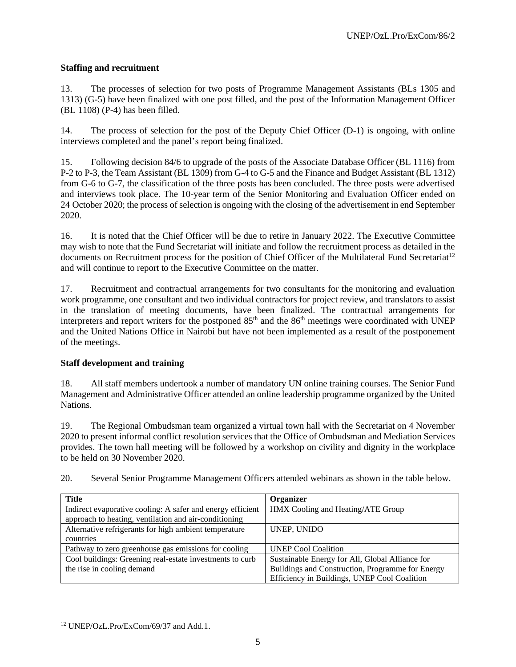# **Staffing and recruitment**

13. The processes of selection for two posts of Programme Management Assistants (BLs 1305 and 1313) (G-5) have been finalized with one post filled, and the post of the Information Management Officer (BL 1108) (P-4) has been filled.

14. The process of selection for the post of the Deputy Chief Officer (D-1) is ongoing, with online interviews completed and the panel's report being finalized.

15. Following decision 84/6 to upgrade of the posts of the Associate Database Officer (BL 1116) from P-2 to P-3, the Team Assistant (BL 1309) from G-4 to G-5 and the Finance and Budget Assistant (BL 1312) from G-6 to G-7, the classification of the three posts has been concluded. The three posts were advertised and interviews took place. The 10-year term of the Senior Monitoring and Evaluation Officer ended on 24 October 2020; the process of selection is ongoing with the closing of the advertisement in end September 2020.

16. It is noted that the Chief Officer will be due to retire in January 2022. The Executive Committee may wish to note that the Fund Secretariat will initiate and follow the recruitment process as detailed in the documents on Recruitment process for the position of Chief Officer of the Multilateral Fund Secretariat<sup>12</sup> and will continue to report to the Executive Committee on the matter.

17. Recruitment and contractual arrangements for two consultants for the monitoring and evaluation work programme, one consultant and two individual contractors for project review, and translators to assist in the translation of meeting documents, have been finalized. The contractual arrangements for interpreters and report writers for the postponed 85<sup>th</sup> and the 86<sup>th</sup> meetings were coordinated with UNEP and the United Nations Office in Nairobi but have not been implemented as a result of the postponement of the meetings.

# **Staff development and training**

18. All staff members undertook a number of mandatory UN online training courses. The Senior Fund Management and Administrative Officer attended an online leadership programme organized by the United Nations.

19. The Regional Ombudsman team organized a virtual town hall with the Secretariat on 4 November 2020 to present informal conflict resolution services that the Office of Ombudsman and Mediation Services provides. The town hall meeting will be followed by a workshop on civility and dignity in the workplace to be held on 30 November 2020.

20. Several Senior Programme Management Officers attended webinars as shown in the table below.

| <b>Title</b>                                               | <b>Organizer</b>                                 |
|------------------------------------------------------------|--------------------------------------------------|
| Indirect evaporative cooling: A safer and energy efficient | HMX Cooling and Heating/ATE Group                |
| approach to heating, ventilation and air-conditioning      |                                                  |
| Alternative refrigerants for high ambient temperature      | UNEP, UNIDO                                      |
| countries                                                  |                                                  |
| Pathway to zero greenhouse gas emissions for cooling       | <b>UNEP Cool Coalition</b>                       |
| Cool buildings: Greening real-estate investments to curb   | Sustainable Energy for All, Global Alliance for  |
| the rise in cooling demand                                 | Buildings and Construction, Programme for Energy |
|                                                            | Efficiency in Buildings, UNEP Cool Coalition     |

<sup>12</sup> UNEP/OzL.Pro/ExCom/69/37 and Add.1.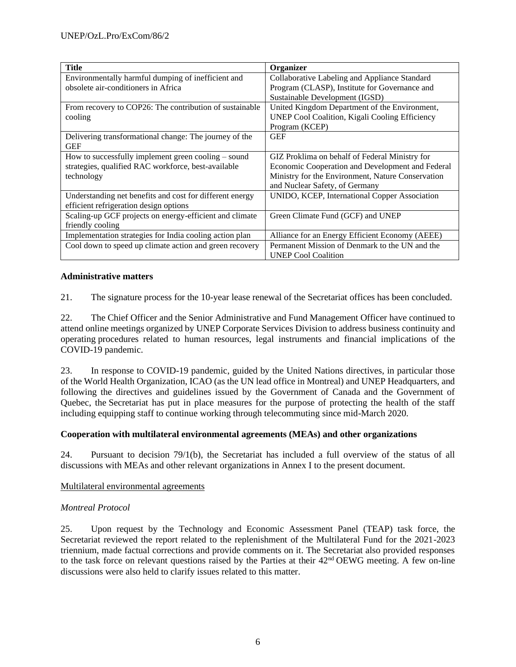| <b>Title</b>                                             | Organizer                                             |
|----------------------------------------------------------|-------------------------------------------------------|
| Environmentally harmful dumping of inefficient and       | Collaborative Labeling and Appliance Standard         |
| obsolete air-conditioners in Africa                      | Program (CLASP), Institute for Governance and         |
|                                                          | Sustainable Development (IGSD)                        |
| From recovery to COP26: The contribution of sustainable  | United Kingdom Department of the Environment,         |
| cooling                                                  | <b>UNEP Cool Coalition, Kigali Cooling Efficiency</b> |
|                                                          | Program (KCEP)                                        |
| Delivering transformational change: The journey of the   | <b>GEF</b>                                            |
| <b>GEF</b>                                               |                                                       |
| How to successfully implement green cooling $-$ sound    | GIZ Proklima on behalf of Federal Ministry for        |
| strategies, qualified RAC workforce, best-available      | Economic Cooperation and Development and Federal      |
| technology                                               | Ministry for the Environment, Nature Conservation     |
|                                                          | and Nuclear Safety, of Germany                        |
| Understanding net benefits and cost for different energy | UNIDO, KCEP, International Copper Association         |
| efficient refrigeration design options                   |                                                       |
| Scaling-up GCF projects on energy-efficient and climate  | Green Climate Fund (GCF) and UNEP                     |
| friendly cooling                                         |                                                       |
| Implementation strategies for India cooling action plan  | Alliance for an Energy Efficient Economy (AEEE)       |
| Cool down to speed up climate action and green recovery  | Permanent Mission of Denmark to the UN and the        |
|                                                          | <b>UNEP Cool Coalition</b>                            |

## **Administrative matters**

21. The signature process for the 10-year lease renewal of the Secretariat offices has been concluded.

22. The Chief Officer and the Senior Administrative and Fund Management Officer have continued to attend online meetings organized by UNEP Corporate Services Division to address business continuity and operating procedures related to human resources, legal instruments and financial implications of the COVID-19 pandemic.

23. In response to COVID-19 pandemic, guided by the United Nations directives, in particular those of the World Health Organization, ICAO (as the UN lead office in Montreal) and UNEP Headquarters, and following the directives and guidelines issued by the Government of Canada and the Government of Quebec, the Secretariat has put in place measures for the purpose of protecting the health of the staff including equipping staff to continue working through telecommuting since mid-March 2020.

#### **Cooperation with multilateral environmental agreements (MEAs) and other organizations**

24. Pursuant to decision 79/1(b), the Secretariat has included a full overview of the status of all discussions with MEAs and other relevant organizations in Annex I to the present document.

#### Multilateral environmental agreements

# *Montreal Protocol*

25. Upon request by the Technology and Economic Assessment Panel (TEAP) task force, the Secretariat reviewed the report related to the replenishment of the Multilateral Fund for the 2021-2023 triennium, made factual corrections and provide comments on it. The Secretariat also provided responses to the task force on relevant questions raised by the Parties at their 42nd OEWG meeting. A few on-line discussions were also held to clarify issues related to this matter.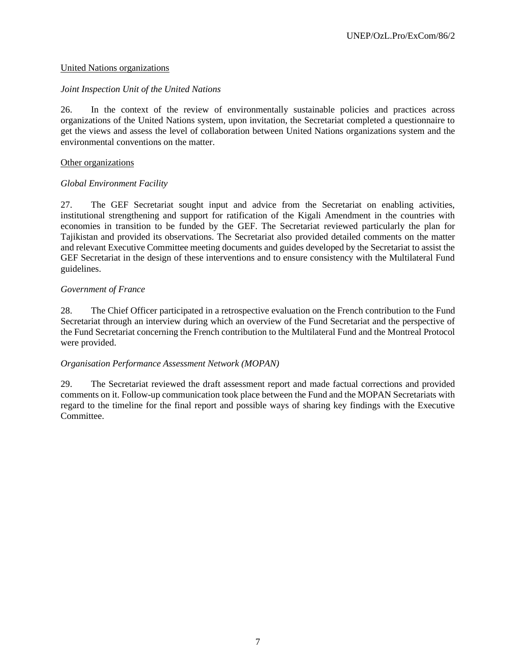## United Nations organizations

#### *Joint Inspection Unit of the United Nations*

26. In the context of the review of environmentally sustainable policies and practices across organizations of the United Nations system, upon invitation, the Secretariat completed a questionnaire to get the views and assess the level of collaboration between United Nations organizations system and the environmental conventions on the matter.

#### Other organizations

## *Global Environment Facility*

27. The GEF Secretariat sought input and advice from the Secretariat on enabling activities, institutional strengthening and support for ratification of the Kigali Amendment in the countries with economies in transition to be funded by the GEF. The Secretariat reviewed particularly the plan for Tajikistan and provided its observations. The Secretariat also provided detailed comments on the matter and relevant Executive Committee meeting documents and guides developed by the Secretariat to assist the GEF Secretariat in the design of these interventions and to ensure consistency with the Multilateral Fund guidelines.

## *Government of France*

28. The Chief Officer participated in a retrospective evaluation on the French contribution to the Fund Secretariat through an interview during which an overview of the Fund Secretariat and the perspective of the Fund Secretariat concerning the French contribution to the Multilateral Fund and the Montreal Protocol were provided.

#### *Organisation Performance Assessment Network (MOPAN)*

29. The Secretariat reviewed the draft assessment report and made factual corrections and provided comments on it. Follow-up communication took place between the Fund and the MOPAN Secretariats with regard to the timeline for the final report and possible ways of sharing key findings with the Executive Committee.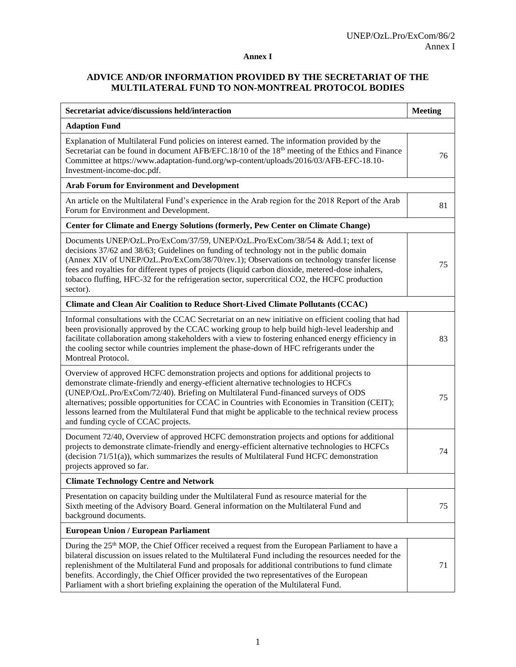#### **Annex I**

## **ADVICE AND/OR INFORMATION PROVIDED BY THE SECRETARIAT OF THE MULTILATERAL FUND TO NON-MONTREAL PROTOCOL BODIES**

| Secretariat advice/discussions held/interaction                                                                                                                                                                                                                                                                                                                                                                                                                                                                      | <b>Meeting</b> |
|----------------------------------------------------------------------------------------------------------------------------------------------------------------------------------------------------------------------------------------------------------------------------------------------------------------------------------------------------------------------------------------------------------------------------------------------------------------------------------------------------------------------|----------------|
| <b>Adaption Fund</b>                                                                                                                                                                                                                                                                                                                                                                                                                                                                                                 |                |
| Explanation of Multilateral Fund policies on interest earned. The information provided by the<br>Secretariat can be found in document AFB/EFC.18/10 of the 18 <sup>th</sup> meeting of the Ethics and Finance<br>Committee at https://www.adaptation-fund.org/wp-content/uploads/2016/03/AFB-EFC-18.10-<br>Investment-income-doc.pdf.                                                                                                                                                                                | 76             |
| <b>Arab Forum for Environment and Development</b>                                                                                                                                                                                                                                                                                                                                                                                                                                                                    |                |
| An article on the Multilateral Fund's experience in the Arab region for the 2018 Report of the Arab<br>Forum for Environment and Development.                                                                                                                                                                                                                                                                                                                                                                        | 81             |
| Center for Climate and Energy Solutions (formerly, Pew Center on Climate Change)                                                                                                                                                                                                                                                                                                                                                                                                                                     |                |
| Documents UNEP/OzL.Pro/ExCom/37/59, UNEP/OzL.Pro/ExCom/38/54 & Add.1; text of<br>decisions 37/62 and 38/63; Guidelines on funding of technology not in the public domain<br>(Annex XIV of UNEP/OzL.Pro/ExCom/38/70/rev.1); Observations on technology transfer license<br>fees and royalties for different types of projects (liquid carbon dioxide, metered-dose inhalers,<br>tobacco fluffing, HFC-32 for the refrigeration sector, supercritical CO2, the HCFC production<br>sector).                             | 75             |
| <b>Climate and Clean Air Coalition to Reduce Short-Lived Climate Pollutants (CCAC)</b>                                                                                                                                                                                                                                                                                                                                                                                                                               |                |
| Informal consultations with the CCAC Secretariat on an new initiative on efficient cooling that had<br>been provisionally approved by the CCAC working group to help build high-level leadership and<br>facilitate collaboration among stakeholders with a view to fostering enhanced energy efficiency in<br>the cooling sector while countries implement the phase-down of HFC refrigerants under the<br>Montreal Protocol.                                                                                        | 83             |
| Overview of approved HCFC demonstration projects and options for additional projects to<br>demonstrate climate-friendly and energy-efficient alternative technologies to HCFCs<br>(UNEP/OzL.Pro/ExCom/72/40). Briefing on Multilateral Fund-financed surveys of ODS<br>alternatives; possible opportunities for CCAC in Countries with Economies in Transition (CEIT);<br>lessons learned from the Multilateral Fund that might be applicable to the technical review process<br>and funding cycle of CCAC projects. | 75             |
| Document 72/40, Overview of approved HCFC demonstration projects and options for additional<br>projects to demonstrate climate-friendly and energy-efficient alternative technologies to HCFCs<br>(decision $71/51(a)$ ), which summarizes the results of Multilateral Fund HCFC demonstration<br>projects approved so far.                                                                                                                                                                                          | 74             |
| <b>Climate Technology Centre and Network</b>                                                                                                                                                                                                                                                                                                                                                                                                                                                                         |                |
| Presentation on capacity building under the Multilateral Fund as resource material for the<br>Sixth meeting of the Advisory Board. General information on the Multilateral Fund and<br>background documents.                                                                                                                                                                                                                                                                                                         | 75             |
| <b>European Union / European Parliament</b>                                                                                                                                                                                                                                                                                                                                                                                                                                                                          |                |
| During the $25th$ MOP, the Chief Officer received a request from the European Parliament to have a<br>bilateral discussion on issues related to the Multilateral Fund including the resources needed for the<br>replenishment of the Multilateral Fund and proposals for additional contributions to fund climate<br>benefits. Accordingly, the Chief Officer provided the two representatives of the European<br>Parliament with a short briefing explaining the operation of the Multilateral Fund.                | 71             |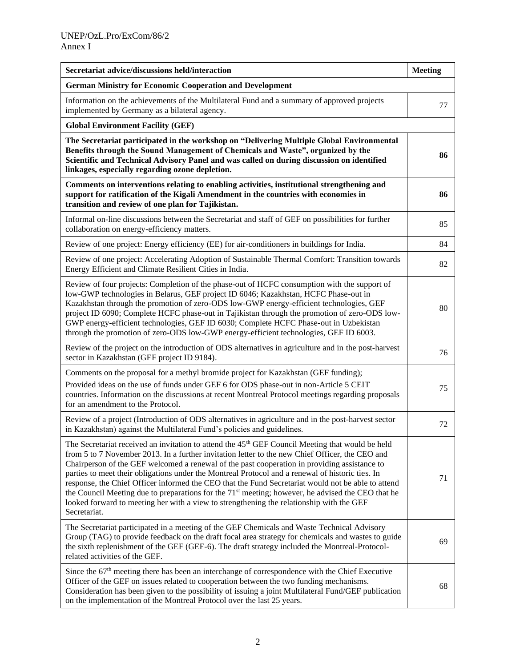| Secretariat advice/discussions held/interaction                                                                                                                                                                                                                                                                                                                                                                                                                                                                                                                                                                                                                                                                                              | <b>Meeting</b> |
|----------------------------------------------------------------------------------------------------------------------------------------------------------------------------------------------------------------------------------------------------------------------------------------------------------------------------------------------------------------------------------------------------------------------------------------------------------------------------------------------------------------------------------------------------------------------------------------------------------------------------------------------------------------------------------------------------------------------------------------------|----------------|
| <b>German Ministry for Economic Cooperation and Development</b>                                                                                                                                                                                                                                                                                                                                                                                                                                                                                                                                                                                                                                                                              |                |
| Information on the achievements of the Multilateral Fund and a summary of approved projects<br>implemented by Germany as a bilateral agency.                                                                                                                                                                                                                                                                                                                                                                                                                                                                                                                                                                                                 | 77             |
| <b>Global Environment Facility (GEF)</b>                                                                                                                                                                                                                                                                                                                                                                                                                                                                                                                                                                                                                                                                                                     |                |
| The Secretariat participated in the workshop on "Delivering Multiple Global Environmental<br>Benefits through the Sound Management of Chemicals and Waste", organized by the<br>Scientific and Technical Advisory Panel and was called on during discussion on identified<br>linkages, especially regarding ozone depletion.                                                                                                                                                                                                                                                                                                                                                                                                                 | 86             |
| Comments on interventions relating to enabling activities, institutional strengthening and<br>support for ratification of the Kigali Amendment in the countries with economies in<br>transition and review of one plan for Tajikistan.                                                                                                                                                                                                                                                                                                                                                                                                                                                                                                       | 86             |
| Informal on-line discussions between the Secretariat and staff of GEF on possibilities for further<br>collaboration on energy-efficiency matters.                                                                                                                                                                                                                                                                                                                                                                                                                                                                                                                                                                                            | 85             |
| Review of one project: Energy efficiency (EE) for air-conditioners in buildings for India.                                                                                                                                                                                                                                                                                                                                                                                                                                                                                                                                                                                                                                                   | 84             |
| Review of one project: Accelerating Adoption of Sustainable Thermal Comfort: Transition towards<br>Energy Efficient and Climate Resilient Cities in India.                                                                                                                                                                                                                                                                                                                                                                                                                                                                                                                                                                                   | 82             |
| Review of four projects: Completion of the phase-out of HCFC consumption with the support of<br>low-GWP technologies in Belarus, GEF project ID 6046; Kazakhstan, HCFC Phase-out in<br>Kazakhstan through the promotion of zero-ODS low-GWP energy-efficient technologies, GEF<br>project ID 6090; Complete HCFC phase-out in Tajikistan through the promotion of zero-ODS low-<br>GWP energy-efficient technologies, GEF ID 6030; Complete HCFC Phase-out in Uzbekistan<br>through the promotion of zero-ODS low-GWP energy-efficient technologies, GEF ID 6003.                                                                                                                                                                            | 80             |
| Review of the project on the introduction of ODS alternatives in agriculture and in the post-harvest<br>sector in Kazakhstan (GEF project ID 9184).                                                                                                                                                                                                                                                                                                                                                                                                                                                                                                                                                                                          | 76             |
| Comments on the proposal for a methyl bromide project for Kazakhstan (GEF funding);<br>Provided ideas on the use of funds under GEF 6 for ODS phase-out in non-Article 5 CEIT<br>countries. Information on the discussions at recent Montreal Protocol meetings regarding proposals<br>for an amendment to the Protocol.                                                                                                                                                                                                                                                                                                                                                                                                                     | 75             |
| Review of a project (Introduction of ODS alternatives in agriculture and in the post-harvest sector<br>in Kazakhstan) against the Multilateral Fund's policies and guidelines.                                                                                                                                                                                                                                                                                                                                                                                                                                                                                                                                                               | 72             |
| The Secretariat received an invitation to attend the $45th$ GEF Council Meeting that would be held<br>from 5 to 7 November 2013. In a further invitation letter to the new Chief Officer, the CEO and<br>Chairperson of the GEF welcomed a renewal of the past cooperation in providing assistance to<br>parties to meet their obligations under the Montreal Protocol and a renewal of historic ties. In<br>response, the Chief Officer informed the CEO that the Fund Secretariat would not be able to attend<br>the Council Meeting due to preparations for the 71 <sup>st</sup> meeting; however, he advised the CEO that he<br>looked forward to meeting her with a view to strengthening the relationship with the GEF<br>Secretariat. | 71             |
| The Secretariat participated in a meeting of the GEF Chemicals and Waste Technical Advisory<br>Group (TAG) to provide feedback on the draft focal area strategy for chemicals and wastes to guide<br>the sixth replenishment of the GEF (GEF-6). The draft strategy included the Montreal-Protocol-<br>related activities of the GEF.                                                                                                                                                                                                                                                                                                                                                                                                        | 69             |
| Since the $67th$ meeting there has been an interchange of correspondence with the Chief Executive<br>Officer of the GEF on issues related to cooperation between the two funding mechanisms.<br>Consideration has been given to the possibility of issuing a joint Multilateral Fund/GEF publication<br>on the implementation of the Montreal Protocol over the last 25 years.                                                                                                                                                                                                                                                                                                                                                               | 68             |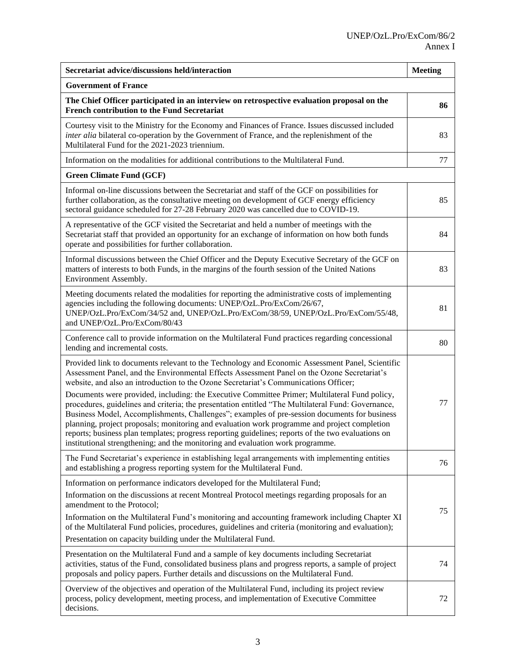| Secretariat advice/discussions held/interaction                                                                                                                                                                                                                                                                                                                                                                                                                                                                                                                                             | <b>Meeting</b> |
|---------------------------------------------------------------------------------------------------------------------------------------------------------------------------------------------------------------------------------------------------------------------------------------------------------------------------------------------------------------------------------------------------------------------------------------------------------------------------------------------------------------------------------------------------------------------------------------------|----------------|
| <b>Government of France</b>                                                                                                                                                                                                                                                                                                                                                                                                                                                                                                                                                                 |                |
| The Chief Officer participated in an interview on retrospective evaluation proposal on the<br>French contribution to the Fund Secretariat                                                                                                                                                                                                                                                                                                                                                                                                                                                   | 86             |
| Courtesy visit to the Ministry for the Economy and Finances of France. Issues discussed included<br>inter alia bilateral co-operation by the Government of France, and the replenishment of the<br>Multilateral Fund for the 2021-2023 triennium.                                                                                                                                                                                                                                                                                                                                           | 83             |
| Information on the modalities for additional contributions to the Multilateral Fund.                                                                                                                                                                                                                                                                                                                                                                                                                                                                                                        | 77             |
| <b>Green Climate Fund (GCF)</b>                                                                                                                                                                                                                                                                                                                                                                                                                                                                                                                                                             |                |
| Informal on-line discussions between the Secretariat and staff of the GCF on possibilities for<br>further collaboration, as the consultative meeting on development of GCF energy efficiency<br>sectoral guidance scheduled for 27-28 February 2020 was cancelled due to COVID-19.                                                                                                                                                                                                                                                                                                          | 85             |
| A representative of the GCF visited the Secretariat and held a number of meetings with the<br>Secretariat staff that provided an opportunity for an exchange of information on how both funds<br>operate and possibilities for further collaboration.                                                                                                                                                                                                                                                                                                                                       | 84             |
| Informal discussions between the Chief Officer and the Deputy Executive Secretary of the GCF on<br>matters of interests to both Funds, in the margins of the fourth session of the United Nations<br>Environment Assembly.                                                                                                                                                                                                                                                                                                                                                                  | 83             |
| Meeting documents related the modalities for reporting the administrative costs of implementing<br>agencies including the following documents: UNEP/OzL.Pro/ExCom/26/67,<br>UNEP/OzL.Pro/ExCom/34/52 and, UNEP/OzL.Pro/ExCom/38/59, UNEP/OzL.Pro/ExCom/55/48,<br>and UNEP/OzL.Pro/ExCom/80/43                                                                                                                                                                                                                                                                                               | 81             |
| Conference call to provide information on the Multilateral Fund practices regarding concessional<br>lending and incremental costs.                                                                                                                                                                                                                                                                                                                                                                                                                                                          | 80             |
| Provided link to documents relevant to the Technology and Economic Assessment Panel, Scientific<br>Assessment Panel, and the Environmental Effects Assessment Panel on the Ozone Secretariat's<br>website, and also an introduction to the Ozone Secretariat's Communications Officer;                                                                                                                                                                                                                                                                                                      |                |
| Documents were provided, including: the Executive Committee Primer; Multilateral Fund policy,<br>procedures, guidelines and criteria; the presentation entitled "The Multilateral Fund: Governance,<br>Business Model, Accomplishments, Challenges"; examples of pre-session documents for business<br>planning, project proposals; monitoring and evaluation work programme and project completion<br>reports; business plan templates; progress reporting guidelines; reports of the two evaluations on<br>institutional strengthening; and the monitoring and evaluation work programme. | 77             |
| The Fund Secretariat's experience in establishing legal arrangements with implementing entities<br>and establishing a progress reporting system for the Multilateral Fund.                                                                                                                                                                                                                                                                                                                                                                                                                  | 76             |
| Information on performance indicators developed for the Multilateral Fund;                                                                                                                                                                                                                                                                                                                                                                                                                                                                                                                  |                |
| Information on the discussions at recent Montreal Protocol meetings regarding proposals for an<br>amendment to the Protocol;                                                                                                                                                                                                                                                                                                                                                                                                                                                                |                |
| Information on the Multilateral Fund's monitoring and accounting framework including Chapter XI<br>of the Multilateral Fund policies, procedures, guidelines and criteria (monitoring and evaluation);                                                                                                                                                                                                                                                                                                                                                                                      | 75             |
| Presentation on capacity building under the Multilateral Fund.                                                                                                                                                                                                                                                                                                                                                                                                                                                                                                                              |                |
| Presentation on the Multilateral Fund and a sample of key documents including Secretariat<br>activities, status of the Fund, consolidated business plans and progress reports, a sample of project<br>proposals and policy papers. Further details and discussions on the Multilateral Fund.                                                                                                                                                                                                                                                                                                | 74             |
| Overview of the objectives and operation of the Multilateral Fund, including its project review<br>process, policy development, meeting process, and implementation of Executive Committee<br>decisions.                                                                                                                                                                                                                                                                                                                                                                                    | 72             |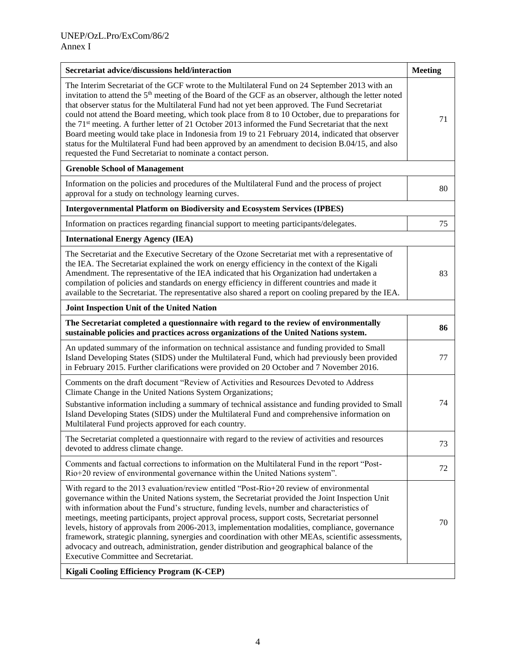| Secretariat advice/discussions held/interaction                                                                                                                                                                                                                                                                                                                                                                                                                                                                                                                                                                                                                                                                                                                                                                       | <b>Meeting</b> |
|-----------------------------------------------------------------------------------------------------------------------------------------------------------------------------------------------------------------------------------------------------------------------------------------------------------------------------------------------------------------------------------------------------------------------------------------------------------------------------------------------------------------------------------------------------------------------------------------------------------------------------------------------------------------------------------------------------------------------------------------------------------------------------------------------------------------------|----------------|
| The Interim Secretariat of the GCF wrote to the Multilateral Fund on 24 September 2013 with an<br>invitation to attend the 5 <sup>th</sup> meeting of the Board of the GCF as an observer, although the letter noted<br>that observer status for the Multilateral Fund had not yet been approved. The Fund Secretariat<br>could not attend the Board meeting, which took place from 8 to 10 October, due to preparations for<br>the 71 <sup>st</sup> meeting. A further letter of 21 October 2013 informed the Fund Secretariat that the next<br>Board meeting would take place in Indonesia from 19 to 21 February 2014, indicated that observer<br>status for the Multilateral Fund had been approved by an amendment to decision B.04/15, and also<br>requested the Fund Secretariat to nominate a contact person. | 71             |
| <b>Grenoble School of Management</b>                                                                                                                                                                                                                                                                                                                                                                                                                                                                                                                                                                                                                                                                                                                                                                                  |                |
| Information on the policies and procedures of the Multilateral Fund and the process of project<br>approval for a study on technology learning curves.                                                                                                                                                                                                                                                                                                                                                                                                                                                                                                                                                                                                                                                                 | 80             |
| <b>Intergovernmental Platform on Biodiversity and Ecosystem Services (IPBES)</b>                                                                                                                                                                                                                                                                                                                                                                                                                                                                                                                                                                                                                                                                                                                                      |                |
| Information on practices regarding financial support to meeting participants/delegates.                                                                                                                                                                                                                                                                                                                                                                                                                                                                                                                                                                                                                                                                                                                               | 75             |
| <b>International Energy Agency (IEA)</b>                                                                                                                                                                                                                                                                                                                                                                                                                                                                                                                                                                                                                                                                                                                                                                              |                |
| The Secretariat and the Executive Secretary of the Ozone Secretariat met with a representative of<br>the IEA. The Secretariat explained the work on energy efficiency in the context of the Kigali<br>Amendment. The representative of the IEA indicated that his Organization had undertaken a<br>compilation of policies and standards on energy efficiency in different countries and made it<br>available to the Secretariat. The representative also shared a report on cooling prepared by the IEA.                                                                                                                                                                                                                                                                                                             | 83             |
| Joint Inspection Unit of the United Nation                                                                                                                                                                                                                                                                                                                                                                                                                                                                                                                                                                                                                                                                                                                                                                            |                |
| The Secretariat completed a questionnaire with regard to the review of environmentally<br>sustainable policies and practices across organizations of the United Nations system.                                                                                                                                                                                                                                                                                                                                                                                                                                                                                                                                                                                                                                       | 86             |
| An updated summary of the information on technical assistance and funding provided to Small<br>Island Developing States (SIDS) under the Multilateral Fund, which had previously been provided<br>in February 2015. Further clarifications were provided on 20 October and 7 November 2016.                                                                                                                                                                                                                                                                                                                                                                                                                                                                                                                           | 77             |
| Comments on the draft document "Review of Activities and Resources Devoted to Address<br>Climate Change in the United Nations System Organizations;<br>Substantive information including a summary of technical assistance and funding provided to Small<br>Island Developing States (SIDS) under the Multilateral Fund and comprehensive information on<br>Multilateral Fund projects approved for each country.                                                                                                                                                                                                                                                                                                                                                                                                     | 74             |
| The Secretariat completed a questionnaire with regard to the review of activities and resources<br>devoted to address climate change.                                                                                                                                                                                                                                                                                                                                                                                                                                                                                                                                                                                                                                                                                 | 73             |
| Comments and factual corrections to information on the Multilateral Fund in the report "Post-<br>Rio+20 review of environmental governance within the United Nations system".                                                                                                                                                                                                                                                                                                                                                                                                                                                                                                                                                                                                                                         | 72             |
| With regard to the 2013 evaluation/review entitled "Post-Rio+20 review of environmental<br>governance within the United Nations system, the Secretariat provided the Joint Inspection Unit<br>with information about the Fund's structure, funding levels, number and characteristics of<br>meetings, meeting participants, project approval process, support costs, Secretariat personnel<br>levels, history of approvals from 2006-2013, implementation modalities, compliance, governance<br>framework, strategic planning, synergies and coordination with other MEAs, scientific assessments,<br>advocacy and outreach, administration, gender distribution and geographical balance of the<br>Executive Committee and Secretariat.                                                                              | 70             |
| Kigali Cooling Efficiency Program (K-CEP)                                                                                                                                                                                                                                                                                                                                                                                                                                                                                                                                                                                                                                                                                                                                                                             |                |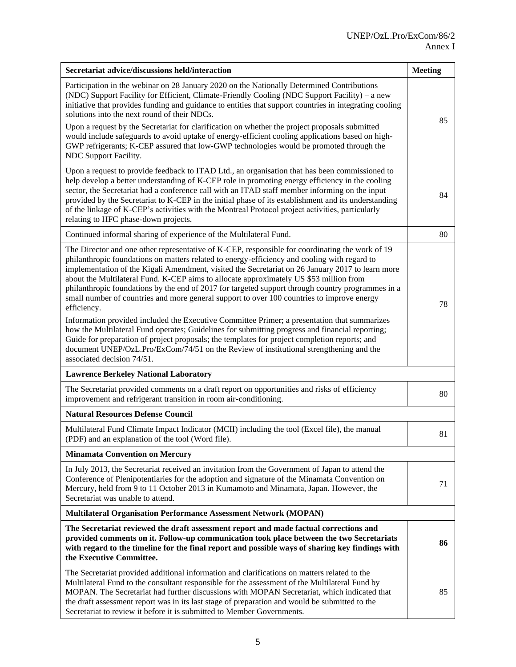| Secretariat advice/discussions held/interaction                                                                                                                                                                                                                                                                                                                                                                                                                                                                                                                                                                                                                                                                                                                                                                                                                                                                                                                                                                                             | <b>Meeting</b> |
|---------------------------------------------------------------------------------------------------------------------------------------------------------------------------------------------------------------------------------------------------------------------------------------------------------------------------------------------------------------------------------------------------------------------------------------------------------------------------------------------------------------------------------------------------------------------------------------------------------------------------------------------------------------------------------------------------------------------------------------------------------------------------------------------------------------------------------------------------------------------------------------------------------------------------------------------------------------------------------------------------------------------------------------------|----------------|
| Participation in the webinar on 28 January 2020 on the Nationally Determined Contributions<br>(NDC) Support Facility for Efficient, Climate-Friendly Cooling (NDC Support Facility) – a new<br>initiative that provides funding and guidance to entities that support countries in integrating cooling<br>solutions into the next round of their NDCs.<br>Upon a request by the Secretariat for clarification on whether the project proposals submitted<br>would include safeguards to avoid uptake of energy-efficient cooling applications based on high-<br>GWP refrigerants; K-CEP assured that low-GWP technologies would be promoted through the<br>NDC Support Facility.                                                                                                                                                                                                                                                                                                                                                            | 85             |
| Upon a request to provide feedback to ITAD Ltd., an organisation that has been commissioned to<br>help develop a better understanding of K-CEP role in promoting energy efficiency in the cooling<br>sector, the Secretariat had a conference call with an ITAD staff member informing on the input<br>provided by the Secretariat to K-CEP in the initial phase of its establishment and its understanding<br>of the linkage of K-CEP's activities with the Montreal Protocol project activities, particularly<br>relating to HFC phase-down projects.                                                                                                                                                                                                                                                                                                                                                                                                                                                                                     | 84             |
| Continued informal sharing of experience of the Multilateral Fund.                                                                                                                                                                                                                                                                                                                                                                                                                                                                                                                                                                                                                                                                                                                                                                                                                                                                                                                                                                          | 80             |
| The Director and one other representative of K-CEP, responsible for coordinating the work of 19<br>philanthropic foundations on matters related to energy-efficiency and cooling with regard to<br>implementation of the Kigali Amendment, visited the Secretariat on 26 January 2017 to learn more<br>about the Multilateral Fund. K-CEP aims to allocate approximately US \$53 million from<br>philanthropic foundations by the end of 2017 for targeted support through country programmes in a<br>small number of countries and more general support to over 100 countries to improve energy<br>efficiency.<br>Information provided included the Executive Committee Primer; a presentation that summarizes<br>how the Multilateral Fund operates; Guidelines for submitting progress and financial reporting;<br>Guide for preparation of project proposals; the templates for project completion reports; and<br>document UNEP/OzL.Pro/ExCom/74/51 on the Review of institutional strengthening and the<br>associated decision 74/51. | 78             |
| <b>Lawrence Berkeley National Laboratory</b>                                                                                                                                                                                                                                                                                                                                                                                                                                                                                                                                                                                                                                                                                                                                                                                                                                                                                                                                                                                                |                |
| The Secretariat provided comments on a draft report on opportunities and risks of efficiency<br>improvement and refrigerant transition in room air-conditioning.                                                                                                                                                                                                                                                                                                                                                                                                                                                                                                                                                                                                                                                                                                                                                                                                                                                                            | 80             |
| <b>Natural Resources Defense Council</b>                                                                                                                                                                                                                                                                                                                                                                                                                                                                                                                                                                                                                                                                                                                                                                                                                                                                                                                                                                                                    |                |
| Multilateral Fund Climate Impact Indicator (MCII) including the tool (Excel file), the manual<br>(PDF) and an explanation of the tool (Word file).                                                                                                                                                                                                                                                                                                                                                                                                                                                                                                                                                                                                                                                                                                                                                                                                                                                                                          | 81             |
| <b>Minamata Convention on Mercury</b>                                                                                                                                                                                                                                                                                                                                                                                                                                                                                                                                                                                                                                                                                                                                                                                                                                                                                                                                                                                                       |                |
| In July 2013, the Secretariat received an invitation from the Government of Japan to attend the<br>Conference of Plenipotentiaries for the adoption and signature of the Minamata Convention on<br>Mercury, held from 9 to 11 October 2013 in Kumamoto and Minamata, Japan. However, the<br>Secretariat was unable to attend.                                                                                                                                                                                                                                                                                                                                                                                                                                                                                                                                                                                                                                                                                                               | 71             |
| <b>Multilateral Organisation Performance Assessment Network (MOPAN)</b>                                                                                                                                                                                                                                                                                                                                                                                                                                                                                                                                                                                                                                                                                                                                                                                                                                                                                                                                                                     |                |
| The Secretariat reviewed the draft assessment report and made factual corrections and<br>provided comments on it. Follow-up communication took place between the two Secretariats<br>with regard to the timeline for the final report and possible ways of sharing key findings with<br>the Executive Committee.                                                                                                                                                                                                                                                                                                                                                                                                                                                                                                                                                                                                                                                                                                                            | 86             |
| The Secretariat provided additional information and clarifications on matters related to the<br>Multilateral Fund to the consultant responsible for the assessment of the Multilateral Fund by<br>MOPAN. The Secretariat had further discussions with MOPAN Secretariat, which indicated that<br>the draft assessment report was in its last stage of preparation and would be submitted to the<br>Secretariat to review it before it is submitted to Member Governments.                                                                                                                                                                                                                                                                                                                                                                                                                                                                                                                                                                   | 85             |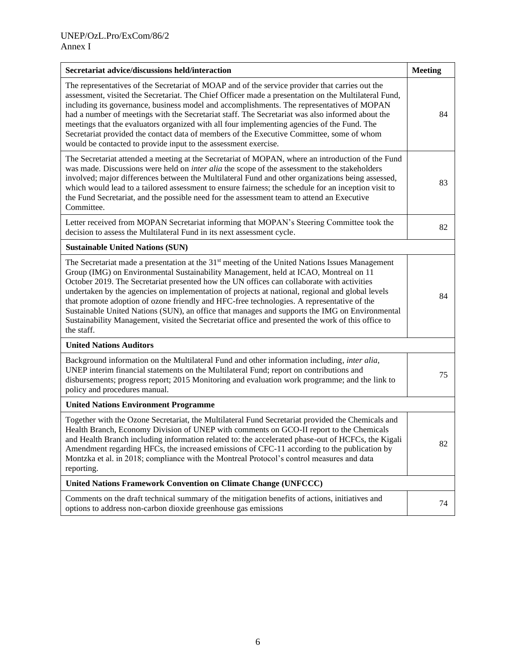| Secretariat advice/discussions held/interaction                                                                                                                                                                                                                                                                                                                                                                                                                                                                                                                                                                                                                                                                           | <b>Meeting</b> |
|---------------------------------------------------------------------------------------------------------------------------------------------------------------------------------------------------------------------------------------------------------------------------------------------------------------------------------------------------------------------------------------------------------------------------------------------------------------------------------------------------------------------------------------------------------------------------------------------------------------------------------------------------------------------------------------------------------------------------|----------------|
| The representatives of the Secretariat of MOAP and of the service provider that carries out the<br>assessment, visited the Secretariat. The Chief Officer made a presentation on the Multilateral Fund,<br>including its governance, business model and accomplishments. The representatives of MOPAN<br>had a number of meetings with the Secretariat staff. The Secretariat was also informed about the<br>meetings that the evaluators organized with all four implementing agencies of the Fund. The<br>Secretariat provided the contact data of members of the Executive Committee, some of whom<br>would be contacted to provide input to the assessment exercise.                                                  | 84             |
| The Secretariat attended a meeting at the Secretariat of MOPAN, where an introduction of the Fund<br>was made. Discussions were held on <i>inter alia</i> the scope of the assessment to the stakeholders<br>involved; major differences between the Multilateral Fund and other organizations being assessed,<br>which would lead to a tailored assessment to ensure fairness; the schedule for an inception visit to<br>the Fund Secretariat, and the possible need for the assessment team to attend an Executive<br>Committee.                                                                                                                                                                                        | 83             |
| Letter received from MOPAN Secretariat informing that MOPAN's Steering Committee took the<br>decision to assess the Multilateral Fund in its next assessment cycle.                                                                                                                                                                                                                                                                                                                                                                                                                                                                                                                                                       | 82             |
| <b>Sustainable United Nations (SUN)</b>                                                                                                                                                                                                                                                                                                                                                                                                                                                                                                                                                                                                                                                                                   |                |
| The Secretariat made a presentation at the 31 <sup>st</sup> meeting of the United Nations Issues Management<br>Group (IMG) on Environmental Sustainability Management, held at ICAO, Montreal on 11<br>October 2019. The Secretariat presented how the UN offices can collaborate with activities<br>undertaken by the agencies on implementation of projects at national, regional and global levels<br>that promote adoption of ozone friendly and HFC-free technologies. A representative of the<br>Sustainable United Nations (SUN), an office that manages and supports the IMG on Environmental<br>Sustainability Management, visited the Secretariat office and presented the work of this office to<br>the staff. | 84             |
| <b>United Nations Auditors</b>                                                                                                                                                                                                                                                                                                                                                                                                                                                                                                                                                                                                                                                                                            |                |
| Background information on the Multilateral Fund and other information including, inter alia,<br>UNEP interim financial statements on the Multilateral Fund; report on contributions and<br>disbursements; progress report; 2015 Monitoring and evaluation work programme; and the link to<br>policy and procedures manual.                                                                                                                                                                                                                                                                                                                                                                                                | 75             |
| <b>United Nations Environment Programme</b>                                                                                                                                                                                                                                                                                                                                                                                                                                                                                                                                                                                                                                                                               |                |
| Together with the Ozone Secretariat, the Multilateral Fund Secretariat provided the Chemicals and<br>Health Branch, Economy Division of UNEP with comments on GCO-II report to the Chemicals<br>and Health Branch including information related to: the accelerated phase-out of HCFCs, the Kigali<br>Amendment regarding HFCs, the increased emissions of CFC-11 according to the publication by<br>Montzka et al. in 2018; compliance with the Montreal Protocol's control measures and data<br>reporting.                                                                                                                                                                                                              | 82             |
| <b>United Nations Framework Convention on Climate Change (UNFCCC)</b>                                                                                                                                                                                                                                                                                                                                                                                                                                                                                                                                                                                                                                                     |                |
| Comments on the draft technical summary of the mitigation benefits of actions, initiatives and<br>options to address non-carbon dioxide greenhouse gas emissions                                                                                                                                                                                                                                                                                                                                                                                                                                                                                                                                                          | 74             |